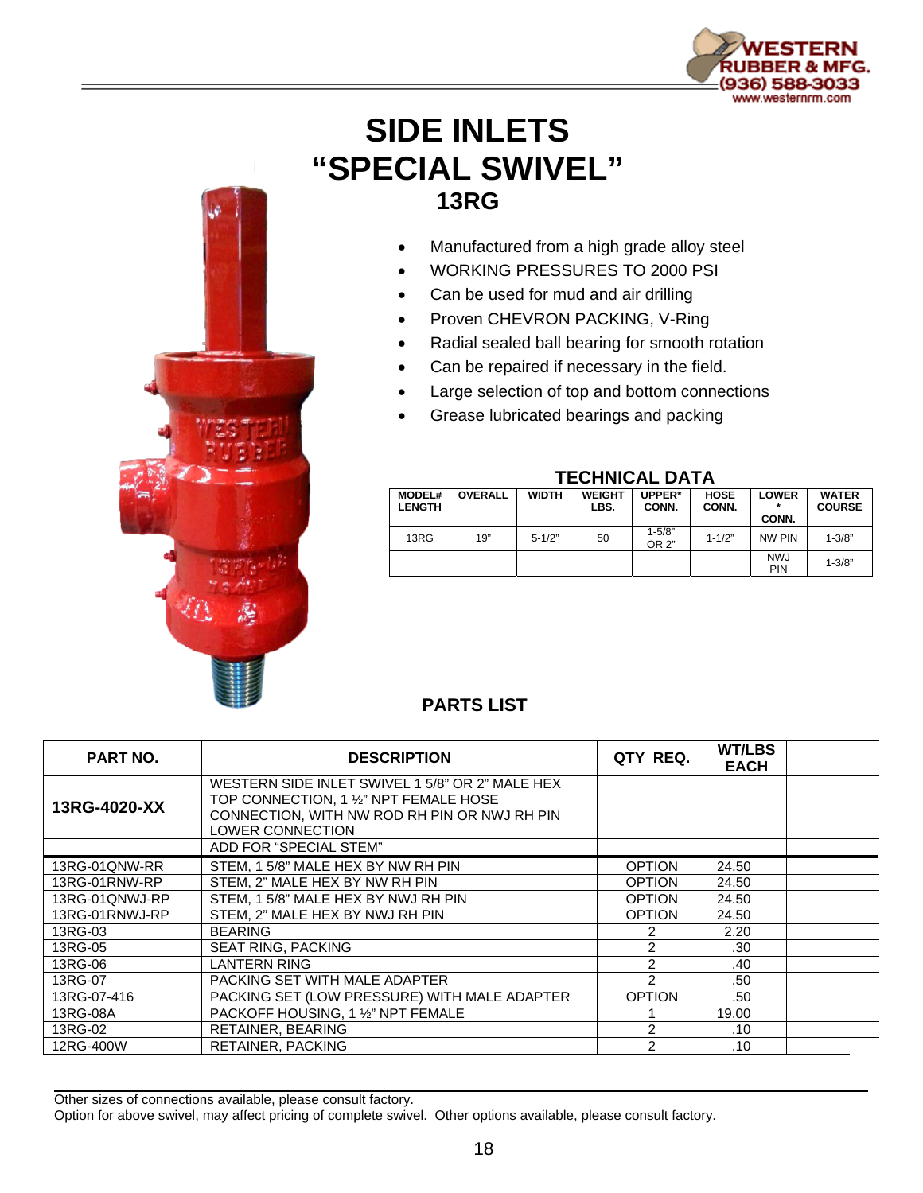

## **SIDE INLETS "SPECIAL SWIVEL" 13RG**

- Manufactured from a high grade alloy steel
- WORKING PRESSURES TO 2000 PSI
- Can be used for mud and air drilling
- Proven CHEVRON PACKING, V-Ring
- Radial sealed ball bearing for smooth rotation
- Can be repaired if necessary in the field.
- Large selection of top and bottom connections
- Grease lubricated bearings and packing



## **TECHNICAL DATA**

| <b>MODEL#</b><br><b>LENGTH</b> | <b>OVERALL</b> | <b>WIDTH</b> | <b>WEIGHT</b><br>LBS. | UPPER*<br>CONN.     | <b>HOSE</b><br>CONN. | <b>LOWER</b><br>CONN.    | <b>WATER</b><br><b>COURSE</b> |
|--------------------------------|----------------|--------------|-----------------------|---------------------|----------------------|--------------------------|-------------------------------|
| 13RG                           | 19"            | $5 - 1/2"$   | 50                    | $1 - 5/8"$<br>OR 2" | $1 - 1/2"$           | NW PIN                   | $1 - 3/8"$                    |
|                                |                |              |                       |                     |                      | <b>NWJ</b><br><b>PIN</b> | $1 - 3/8"$                    |

## **PARTS LIST**

| <b>PART NO.</b> | <b>DESCRIPTION</b>                                                                                                                                            | QTY REQ.       | <b>WT/LBS</b><br><b>EACH</b> |  |
|-----------------|---------------------------------------------------------------------------------------------------------------------------------------------------------------|----------------|------------------------------|--|
| 13RG-4020-XX    | WESTERN SIDE INLET SWIVEL 1 5/8" OR 2" MALE HEX<br>TOP CONNECTION, 1 1/2" NPT FEMALE HOSE<br>CONNECTION, WITH NW ROD RH PIN OR NWJ RH PIN<br>LOWER CONNECTION |                |                              |  |
|                 | ADD FOR "SPECIAL STEM"                                                                                                                                        |                |                              |  |
| 13RG-01QNW-RR   | STEM, 15/8" MALE HEX BY NW RH PIN                                                                                                                             | <b>OPTION</b>  | 24.50                        |  |
| 13RG-01RNW-RP   | STEM, 2" MALE HEX BY NW RH PIN                                                                                                                                | <b>OPTION</b>  | 24.50                        |  |
| 13RG-01QNWJ-RP  | STEM, 1 5/8" MALE HEX BY NWJ RH PIN                                                                                                                           | <b>OPTION</b>  | 24.50                        |  |
| 13RG-01RNWJ-RP  | STEM. 2" MALE HEX BY NWJ RH PIN                                                                                                                               | <b>OPTION</b>  | 24.50                        |  |
| 13RG-03         | <b>BEARING</b>                                                                                                                                                | 2              | 2.20                         |  |
| 13RG-05         | <b>SEAT RING, PACKING</b>                                                                                                                                     | $\mathcal{P}$  | .30                          |  |
| 13RG-06         | <b>LANTERN RING</b>                                                                                                                                           | 2              | .40                          |  |
| 13RG-07         | PACKING SET WITH MALE ADAPTER                                                                                                                                 | 2              | .50                          |  |
| 13RG-07-416     | PACKING SET (LOW PRESSURE) WITH MALE ADAPTER                                                                                                                  | <b>OPTION</b>  | .50                          |  |
| 13RG-08A        | PACKOFF HOUSING, 1 1/2" NPT FEMALE                                                                                                                            |                | 19.00                        |  |
| 13RG-02         | RETAINER, BEARING                                                                                                                                             | $\overline{c}$ | .10                          |  |
| 12RG-400W       | <b>RETAINER, PACKING</b>                                                                                                                                      | 2              | .10                          |  |

Other sizes of connections available, please consult factory.

Option for above swivel, may affect pricing of complete swivel. Other options available, please consult factory.